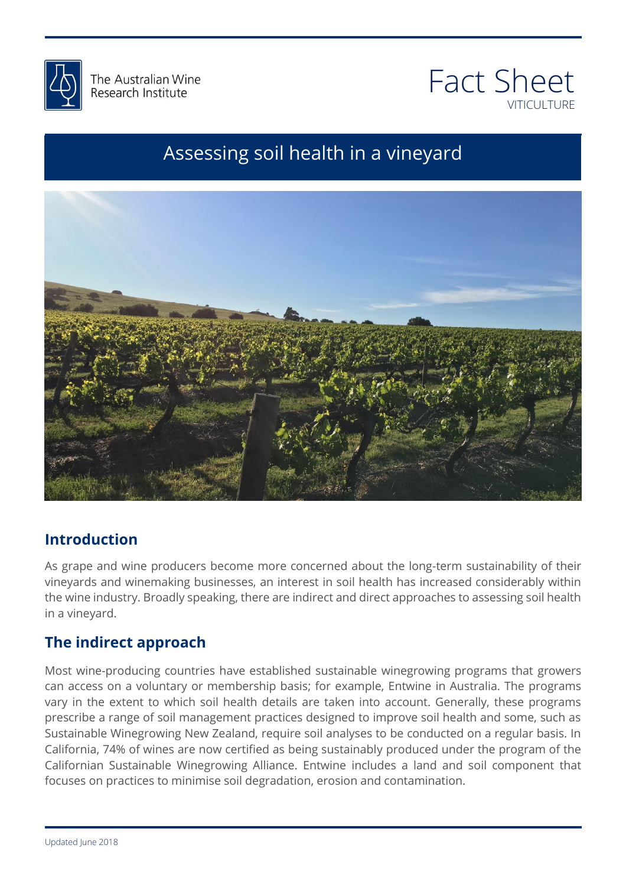



# Assessing soil health in a vineyard



# **Introduction**

the long-term sustainability of their<br>th has increased considerably within the wine industry. Broadly speaking, there are indirect and direct approaches to assessing soil health<br>in a vineyard. As grape and wine producers become more concerned about the long-term sustainability of their vineyards and winemaking businesses, an interest in soil health has increased considerably within in a vineyard.

# **The indirect approach**

24/12, please let be a please let be a please let be a please let be a please let be a please let be a please<br>24/12, please let be a please let be a please let be a please let be a please let be a please let be a please can access on a voluntary or membership basis; for example, Entwine in Australia. The programs<br>vary in the extent to which soil health details are taken into account. Generally, these programs Most wine-producing countries have established sustainable winegrowing programs that growers can access on a voluntary or membership basis; for example, Entwine in Australia. The programs prescribe a range of soil management practices designed to improve soil health and some, such as Sustainable Winegrowing New Zealand, require soil analyses to be conducted on a regular basis. In California, 74% of wines are now certified as being sustainably produced under the program of the Californian Sustainable Winegrowing Alliance. Entwine includes a land and soil component that focuses on practices to minimise soil degradation, erosion and contamination.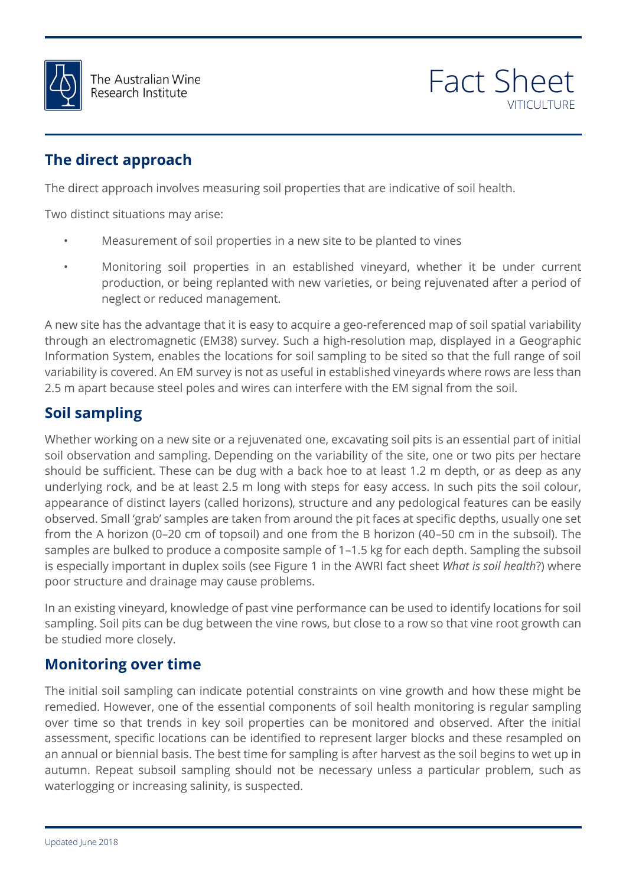



# **The direct approach**

The direct approach involves measuring soil properties that are indicative of soil health.

Two distinct situations may arise:

- Measurement of soil properties in a new site to be planted to vines
- Monitoring soil properties in an established vineyard, whether it be under current production, or being replanted with new varieties, or being rejuvenated after a period of neglect or reduced management.

through an electromagnetic (EM38) survey. Such a high-resolution map, displayed in a Geographic<br>Information System, enables the locations for soil sampling to be sited so that the full range of soil 2.5 m apart because steel poles and wires can interfere with the EM signal from the soil.<br>  $\bullet$  : A new site has the advantage that it is easy to acquire a geo-referenced map of soil spatial variability through an electromagnetic (EM38) survey. Such a high-resolution map, displayed in a Geographic variability is covered. An EM survey is not as useful in established vineyards where rows are less than

# **Soil sampling**

T&C form. If Whether working on a new site or a rejuvenated one, excavating soil pits is an essential part of initial should be sufficient. These can be dug with a back hoe to at least 1.2 m depth, or as deep as any<br>underlying rock, and be at least 2.5 m long with steps for easy access. In such pits the soil colour, else that we can underty the cancel of the well also that we can give the any proceed. Small 'grab' samples are taken from around the pit faces at specific depths, usually one set<br>from the A horizon (0–20 cm of topsoil) an fact sheet *What is soil health*?) where soil observation and sampling. Depending on the variability of the site, one or two pits per hectare underlying rock, and be at least 2.5 m long with steps for easy access. In such pits the soil colour, appearance of distinct layers (called horizons), structure and any pedological features can be easily from the A horizon (0–20 cm of topsoil) and one from the B horizon (40–50 cm in the subsoil). The samples are bulked to produce a composite sample of 1–1.5 kg for each depth. Sampling the subsoil is especially important in duplex soils (see Figure 1 in the AWRI fact sheet *What is soil health*?) where poor structure and drainage may cause problems.

nce can be used to identify locations for soil<br>t close to a row so that vine root growth can In an existing vineyard, knowledge of past vine performance can be used to identify locations for soil sampling. Soil pits can be dug between the vine rows, but close to a row so that vine root growth can be studied more closely.

# **Monitoring over time**

The initial soil sampling can indicate potential constraints on vine growth and how these might be<br>remedied. However, one of the essential components of soil health monitoring is regular sampling remedied. However, one of the essential components of soil health monitoring is regular sampling over time so that trends in key soil properties can be monitored and observed. After the initial assessment, specific locations can be identified to represent larger blocks and these resampled on an annual or biennial basis. The best time for sampling is after harvest as the soil begins to wet up in autumn. Repeat subsoil sampling should not be necessary unless a particular problem, such as waterlogging or increasing salinity, is suspected.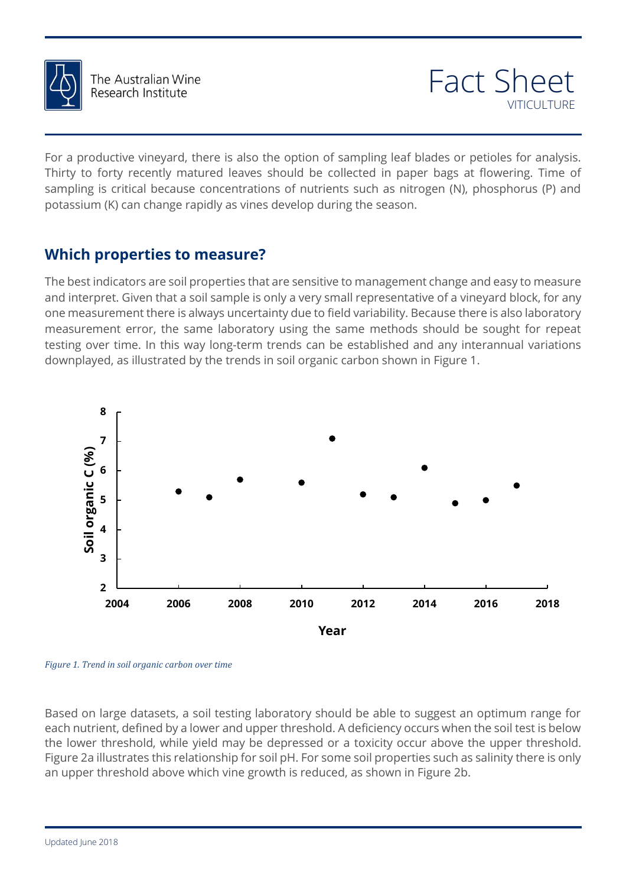

The Australian Wine Research Institute

For a productive vineyard, there is also the option of sampling leaf blades or petioles for analysis. Thirty to forty recently matured leaves should be collected in paper bags at flowering. Time of sampling is critical because concentrations of nutrients such as nitrogen (N), phosphorus (P) and potassium (K) can change rapidly as vines develop during the season.

# **Which properties to measure?**

testing over time. In this way long-term trends can be established and any interannual variations<br>downplayed, as illustrated by the trends in soil organic carbon shown in Figure 1. The best indicators are soil properties that are sensitive to management change and easy to measure and interpret. Given that a soil sample is only a very small representative of a vineyard block, for any one measurement there is always uncertainty due to field variability. Because there is also laboratory measurement error, the same laboratory using the same methods should be sought for repeat downplayed, as illustrated by the trends in soil organic carbon shown in Figure 1.



*Figure 1. Trend in soil organic carbon over time*

me know. Based on large datasets, a soil testing laboratory should be able to suggest an optimum range for each nutrient, defined by a lower and upper threshold. A deficiency occurs when the soil test is below the lower threshold, while yield may be depressed or a toxicity occur above the upper threshold. Figure 2a illustrates this relationship for soil pH. For some soil properties such as salinity there is only an upper threshold above which vine growth is reduced, as shown in Figure 2b.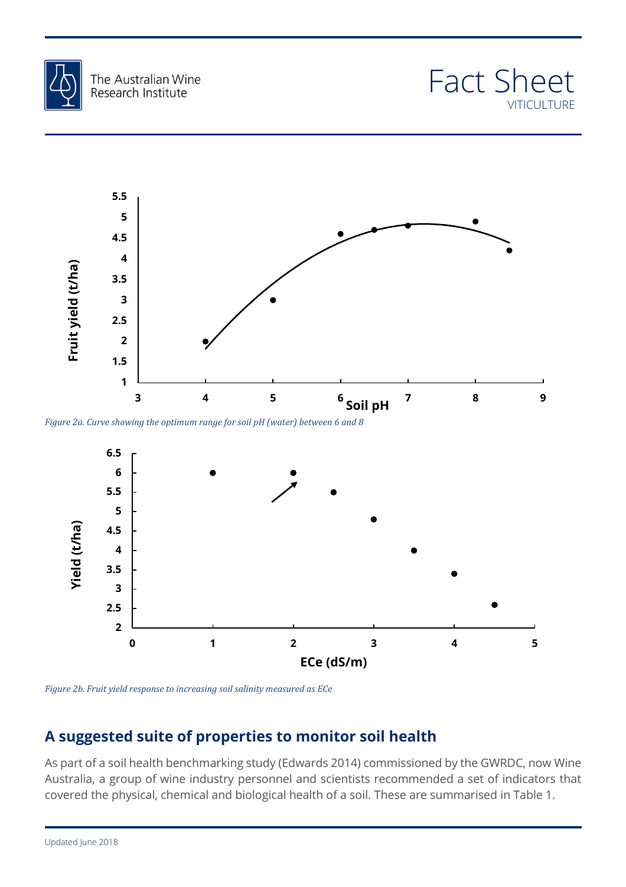





*Figure 2a. Curve showing the optimum range for soil pH (water) between 6 and 8*



*Figure 2b. Fruit yield response to increasing soil salinity measured as ECe*

# **A suggested suite of properties to monitor soil health**

As part of a soil health benchmarking study (Edwards 2014) commissioned by the GWRDC, now Wine Australia, a group of wine industry personnel and scientists recommended a set of indicators that covered the physical, chemical and biological health of a soil. These are summarised in Table 1.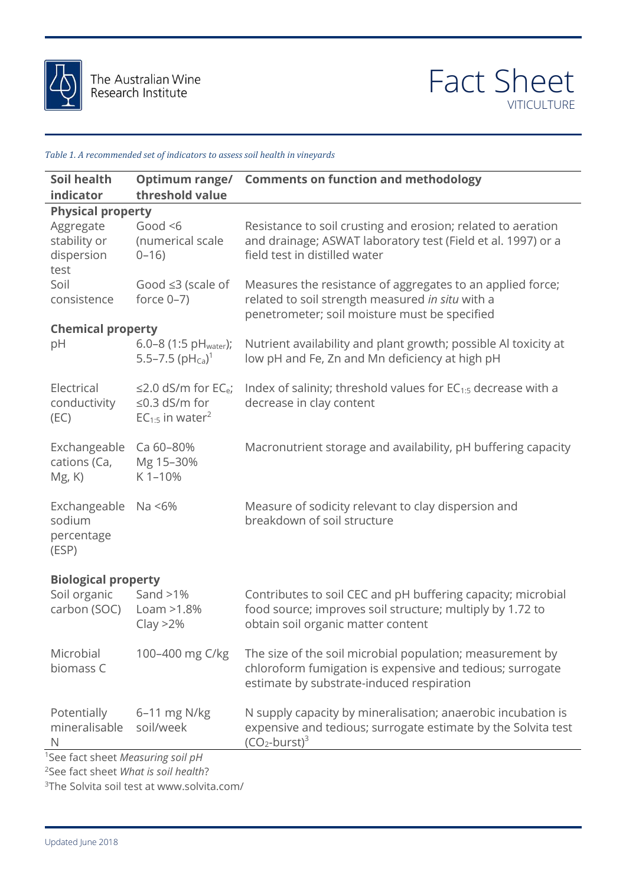



#### *Table 1. A recommended set of indicators to assess soil health in vineyards*

| Soil health                                                                                       | Optimum range/                                                                                   | <b>Comments on function and methodology</b>                                                                                                                         |
|---------------------------------------------------------------------------------------------------|--------------------------------------------------------------------------------------------------|---------------------------------------------------------------------------------------------------------------------------------------------------------------------|
| threshold value<br>indicator                                                                      |                                                                                                  |                                                                                                                                                                     |
| <b>Physical property</b><br>Aggregate<br>stability or<br>dispersion<br>test                       | Good $< 6$<br>(numerical scale<br>$0 - 16$                                                       | Resistance to soil crusting and erosion; related to aeration<br>and drainage; ASWAT laboratory test (Field et al. 1997) or a<br>field test in distilled water       |
| Soil<br>consistence                                                                               | Good $\leq 3$ (scale of<br>force $0-7$ )                                                         | Measures the resistance of aggregates to an applied force;<br>related to soil strength measured in situ with a<br>penetrometer; soil moisture must be specified     |
| <b>Chemical property</b><br>pH                                                                    | 6.0-8 (1:5 $pHwater$ );<br>5.5–7.5 $(PH_{Ca})^1$                                                 | Nutrient availability and plant growth; possible Al toxicity at<br>low pH and Fe, Zn and Mn deficiency at high pH                                                   |
| Electrical<br>conductivity<br>(EC)                                                                | $\leq$ 2.0 dS/m for EC <sub>e</sub> ;<br>$\leq$ 0.3 dS/m for<br>$EC_{1:5}$ in water <sup>2</sup> | Index of salinity; threshold values for $EC_{1:5}$ decrease with a<br>decrease in clay content                                                                      |
| Exchangeable<br>cations (Ca,<br>$Mg$ , $K$ )                                                      | Ca 60-80%<br>Mg 15-30%<br>K1-10%                                                                 | Macronutrient storage and availability, pH buffering capacity                                                                                                       |
| Exchangeable<br>sodium<br>percentage<br>(ESP)                                                     | Na <6%                                                                                           | Measure of sodicity relevant to clay dispersion and<br>breakdown of soil structure                                                                                  |
| <b>Biological property</b>                                                                        |                                                                                                  |                                                                                                                                                                     |
| Soil organic<br>carbon (SOC)                                                                      | Sand $>1\%$<br>Loam > 1.8%<br>Clay > 2%                                                          | Contributes to soil CEC and pH buffering capacity; microbial<br>food source; improves soil structure; multiply by 1.72 to<br>obtain soil organic matter content     |
| Microbial<br>biomass C                                                                            | 100-400 mg C/kg                                                                                  | The size of the soil microbial population; measurement by<br>chloroform fumigation is expensive and tedious; surrogate<br>estimate by substrate-induced respiration |
| Potentially<br>mineralisable<br>$\mathsf{N}$                                                      | $6-11$ mg N/kg<br>soil/week                                                                      | N supply capacity by mineralisation; anaerobic incubation is<br>expensive and tedious; surrogate estimate by the Solvita test<br>$(CO2-burst)3$                     |
| <sup>1</sup> See fact sheet Measuring soil pH<br><sup>2</sup> See fact sheet What is soil health? |                                                                                                  |                                                                                                                                                                     |

3The Solvita soil test at www.solvita.com/